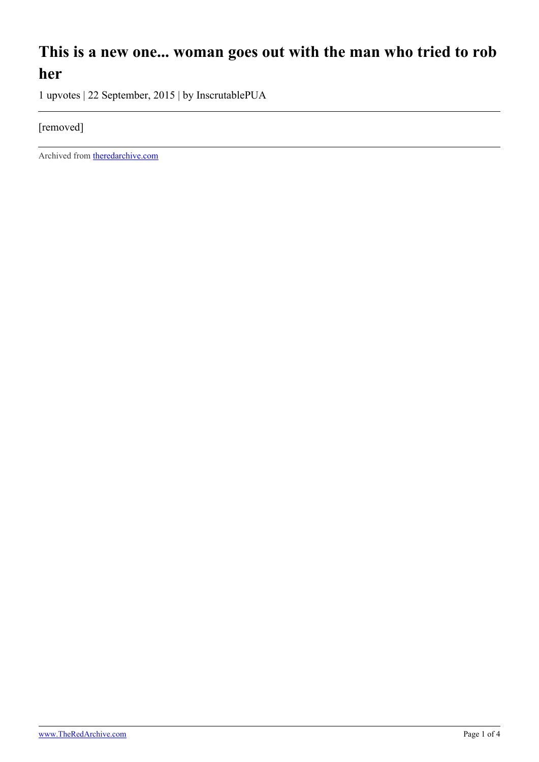## **This is a new one... woman goes out with the man who tried to rob her**

1 upvotes | 22 September, 2015 | by InscrutablePUA

## [removed]

Archived from [theredarchive.com](https://theredarchive.com/r/TheRedPill/this-is-a-new-one-woman-goes-out-with-the-man-who.36629)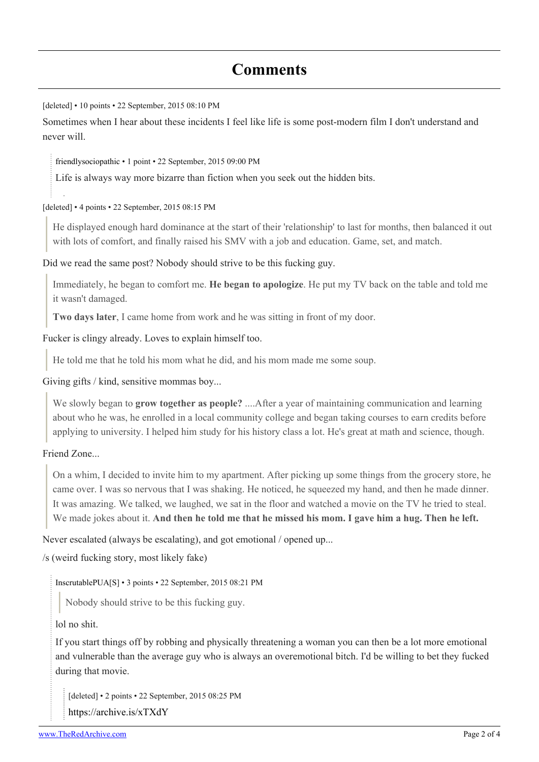## **Comments**

[deleted] • 10 points • 22 September, 2015 08:10 PM

Sometimes when I hear about these incidents I feel like life is some post-modern film I don't understand and never will.

[friendlysociopathic](https://old.reddit.com/user/friendlysociopathic) • 1 point • 22 September, 2015 09:00 PM

Life is always way more bizarre than fiction when you seek out the hidden bits.

[deleted] • 4 points • 22 September, 2015 08:15 PM

He displayed enough hard dominance at the start of their 'relationship' to last for months, then balanced it out with lots of comfort, and finally raised his SMV with a job and education. Game, set, and match.

Did we read the same post? Nobody should strive to be this fucking guy.

Immediately, he began to comfort me. **He began to apologize**. He put my TV back on the table and told me it wasn't damaged.

**Two days later**, I came home from work and he was sitting in front of my door.

Fucker is clingy already. Loves to explain himself too.

He told me that he told his mom what he did, and his mom made me some soup.

Giving gifts / kind, sensitive mommas boy...

We slowly began to **grow together as people?** ....After a year of maintaining communication and learning about who he was, he enrolled in a local community college and began taking courses to earn credits before applying to university. I helped him study for his history class a lot. He's great at math and science, though.

Friend Zone...

On a whim, I decided to invite him to my apartment. After picking up some things from the grocery store, he came over. I was so nervous that I was shaking. He noticed, he squeezed my hand, and then he made dinner. It was amazing. We talked, we laughed, we sat in the floor and watched a movie on the TV he tried to steal. We made jokes about it. **And then he told me that he missed his mom. I gave him a hug. Then he left.**

Never escalated (always be escalating), and got emotional / opened up...

/s (weird fucking story, most likely fake)

[InscrutablePUA\[](https://old.reddit.com/user/InscrutablePUA)[S](https://theredarchive.com/r/TheRedPill/comments/3lz78c/this_is_a_new_one_woman_goes_out_with_the_man_who/)] • 3 points • 22 September, 2015 08:21 PM

Nobody should strive to be this fucking guy.

lol no shit.

If you start things off by robbing and physically threatening a woman you can then be a lot more emotional and vulnerable than the average guy who is always an overemotional bitch. I'd be willing to bet they fucked during that movie.

[deleted] • 2 points • 22 September, 2015 08:25 PM <https://archive.is/xTXdY>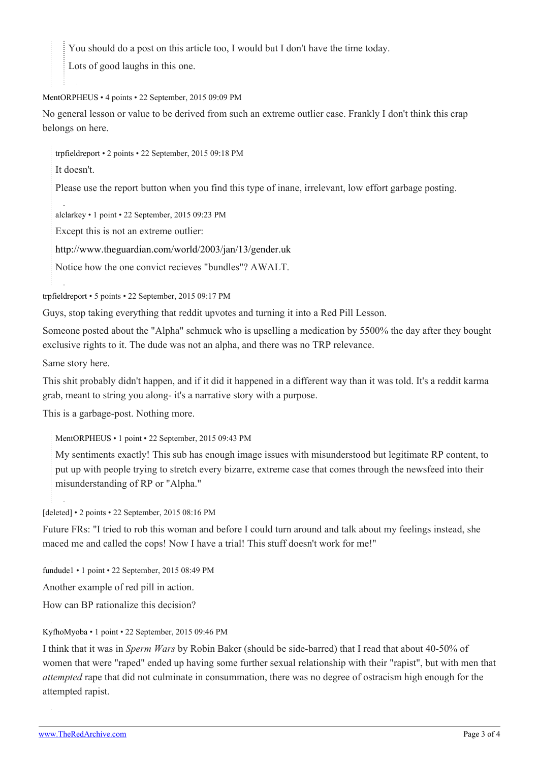You should do a post on this article too, I would but I don't have the time today.

Lots of good laughs in this one.

## [MentORPHEUS](https://old.reddit.com/user/MentORPHEUS) • 4 points • 22 September, 2015 09:09 PM

No general lesson or value to be derived from such an extreme outlier case. Frankly I don't think this crap belongs on here.

[trpfieldreport](https://old.reddit.com/user/trpfieldreport) • 2 points • 22 September, 2015 09:18 PM

It doesn't.

Please use the report button when you find this type of inane, irrelevant, low effort garbage posting.

[alclarkey](https://old.reddit.com/user/alclarkey) • 1 point • 22 September, 2015 09:23 PM

Except this is not an extreme outlier:

<http://www.theguardian.com/world/2003/jan/13/gender.uk>

Notice how the one convict recieves "bundles"? AWALT.

[trpfieldreport](https://old.reddit.com/user/trpfieldreport) • 5 points • 22 September, 2015 09:17 PM

Guys, stop taking everything that reddit upvotes and turning it into a Red Pill Lesson.

Someone posted about the "Alpha" schmuck who is upselling a medication by 5500% the day after they bought exclusive rights to it. The dude was not an alpha, and there was no TRP relevance.

Same story here.

This shit probably didn't happen, and if it did it happened in a different way than it was told. It's a reddit karma grab, meant to string you along- it's a narrative story with a purpose.

This is a garbage-post. Nothing more.

[MentORPHEUS](https://old.reddit.com/user/MentORPHEUS) • 1 point • 22 September, 2015 09:43 PM

My sentiments exactly! This sub has enough image issues with misunderstood but legitimate RP content, to put up with people trying to stretch every bizarre, extreme case that comes through the newsfeed into their misunderstanding of RP or "Alpha."

[deleted] • 2 points • 22 September, 2015 08:16 PM

Future FRs: "I tried to rob this woman and before I could turn around and talk about my feelings instead, she maced me and called the cops! Now I have a trial! This stuff doesn't work for me!"

[fundude1](https://old.reddit.com/user/fundude1) • 1 point • 22 September, 2015 08:49 PM

Another example of red pill in action.

How can BP rationalize this decision?

[KyfhoMyoba](https://old.reddit.com/user/KyfhoMyoba) • 1 point • 22 September, 2015 09:46 PM

I think that it was in *Sperm Wars* by Robin Baker (should be side-barred) that I read that about 40-50% of women that were "raped" ended up having some further sexual relationship with their "rapist", but with men that *attempted* rape that did not culminate in consummation, there was no degree of ostracism high enough for the attempted rapist.